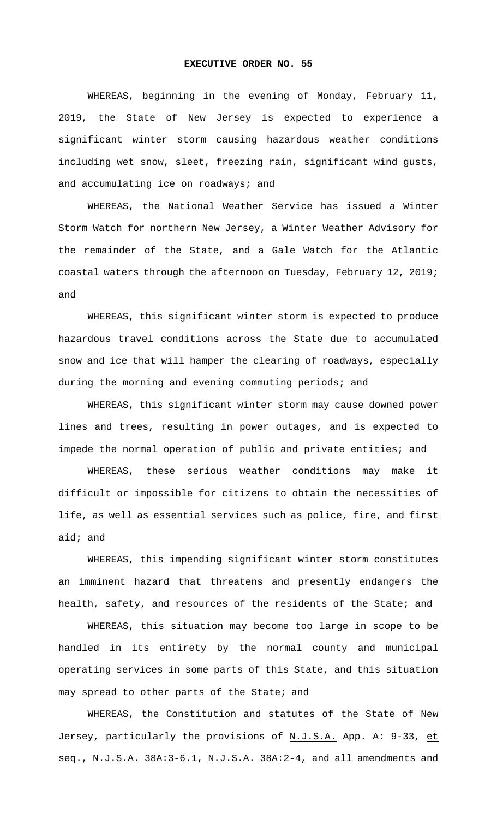## **EXECUTIVE ORDER NO. 55**

WHEREAS, beginning in the evening of Monday, February 11, 2019, the State of New Jersey is expected to experience a significant winter storm causing hazardous weather conditions including wet snow, sleet, freezing rain, significant wind gusts, and accumulating ice on roadways; and

WHEREAS, the National Weather Service has issued a Winter Storm Watch for northern New Jersey, a Winter Weather Advisory for the remainder of the State, and a Gale Watch for the Atlantic coastal waters through the afternoon on Tuesday, February 12, 2019; and

WHEREAS, this significant winter storm is expected to produce hazardous travel conditions across the State due to accumulated snow and ice that will hamper the clearing of roadways, especially during the morning and evening commuting periods; and

WHEREAS, this significant winter storm may cause downed power lines and trees, resulting in power outages, and is expected to impede the normal operation of public and private entities; and

WHEREAS, these serious weather conditions may make it difficult or impossible for citizens to obtain the necessities of life, as well as essential services such as police, fire, and first aid; and

WHEREAS, this impending significant winter storm constitutes an imminent hazard that threatens and presently endangers the health, safety, and resources of the residents of the State; and

WHEREAS, this situation may become too large in scope to be handled in its entirety by the normal county and municipal operating services in some parts of this State, and this situation may spread to other parts of the State; and

WHEREAS, the Constitution and statutes of the State of New Jersey, particularly the provisions of N.J.S.A. App. A: 9-33, et seq., N.J.S.A. 38A:3-6.1, N.J.S.A. 38A:2-4, and all amendments and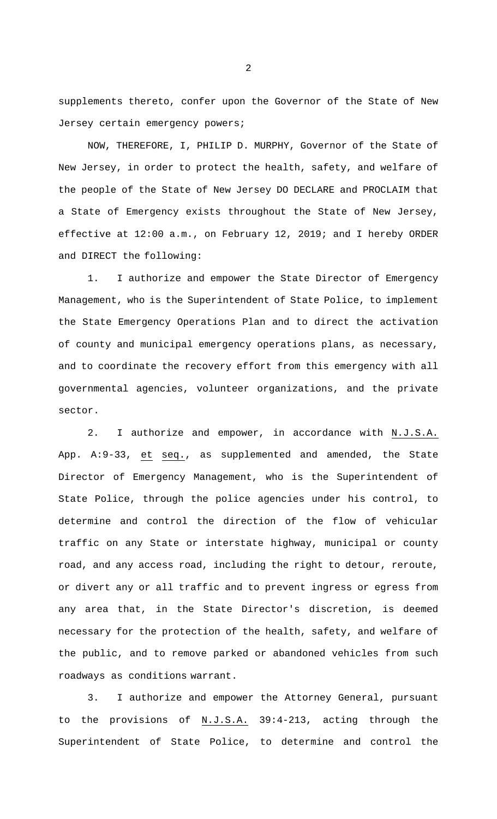supplements thereto, confer upon the Governor of the State of New Jersey certain emergency powers;

NOW, THEREFORE, I, PHILIP D. MURPHY, Governor of the State of New Jersey, in order to protect the health, safety, and welfare of the people of the State of New Jersey DO DECLARE and PROCLAIM that a State of Emergency exists throughout the State of New Jersey, effective at 12:00 a.m., on February 12, 2019; and I hereby ORDER and DIRECT the following:

1. I authorize and empower the State Director of Emergency Management, who is the Superintendent of State Police, to implement the State Emergency Operations Plan and to direct the activation of county and municipal emergency operations plans, as necessary, and to coordinate the recovery effort from this emergency with all governmental agencies, volunteer organizations, and the private sector.

2. I authorize and empower, in accordance with N.J.S.A. App. A:9-33, et seq., as supplemented and amended, the State Director of Emergency Management, who is the Superintendent of State Police, through the police agencies under his control, to determine and control the direction of the flow of vehicular traffic on any State or interstate highway, municipal or county road, and any access road, including the right to detour, reroute, or divert any or all traffic and to prevent ingress or egress from any area that, in the State Director's discretion, is deemed necessary for the protection of the health, safety, and welfare of the public, and to remove parked or abandoned vehicles from such roadways as conditions warrant.

3. I authorize and empower the Attorney General, pursuant to the provisions of N.J.S.A. 39:4-213, acting through the Superintendent of State Police, to determine and control the

2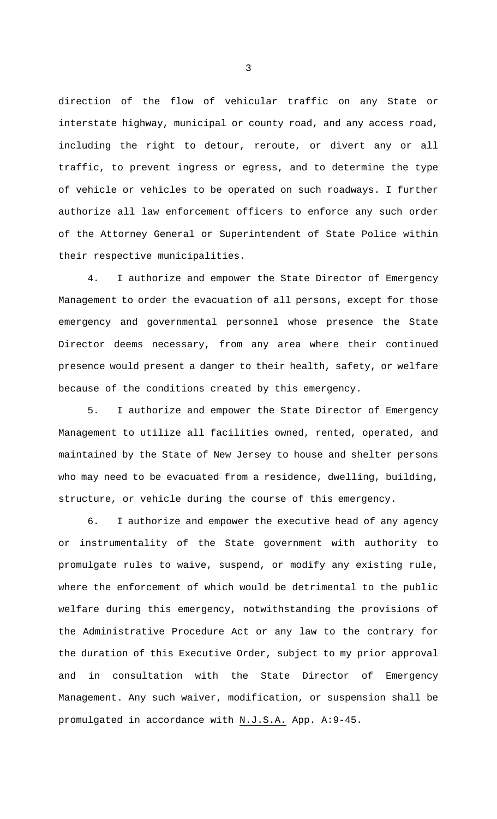direction of the flow of vehicular traffic on any State or interstate highway, municipal or county road, and any access road, including the right to detour, reroute, or divert any or all traffic, to prevent ingress or egress, and to determine the type of vehicle or vehicles to be operated on such roadways. I further authorize all law enforcement officers to enforce any such order of the Attorney General or Superintendent of State Police within their respective municipalities.

4. I authorize and empower the State Director of Emergency Management to order the evacuation of all persons, except for those emergency and governmental personnel whose presence the State Director deems necessary, from any area where their continued presence would present a danger to their health, safety, or welfare because of the conditions created by this emergency.

5. I authorize and empower the State Director of Emergency Management to utilize all facilities owned, rented, operated, and maintained by the State of New Jersey to house and shelter persons who may need to be evacuated from a residence, dwelling, building, structure, or vehicle during the course of this emergency.

I authorize and empower the executive head of any agency or instrumentality of the State government with authority to promulgate rules to waive, suspend, or modify any existing rule, where the enforcement of which would be detrimental to the public welfare during this emergency, notwithstanding the provisions of the Administrative Procedure Act or any law to the contrary for the duration of this Executive Order, subject to my prior approval and in consultation with the State Director of Emergency Management. Any such waiver, modification, or suspension shall be promulgated in accordance with N.J.S.A. App. A:9-45.

3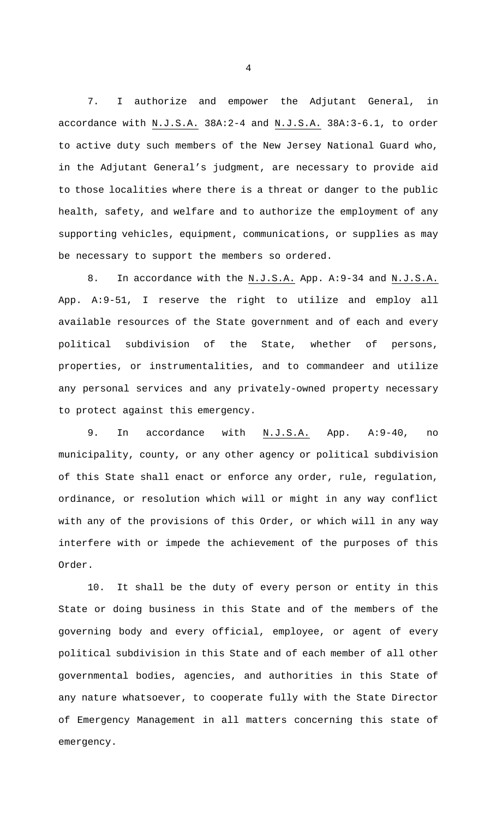7. I authorize and empower the Adjutant General, in accordance with N.J.S.A. 38A: 2-4 and N.J.S.A. 38A: 3-6.1, to order to active duty such members of the New Jersey National Guard who, in the Adjutant General's judgment, are necessary to provide aid to those localities where there is a threat or danger to the public health, safety, and welfare and to authorize the employment of any supporting vehicles, equipment, communications, or supplies as may be necessary to support the members so ordered.

8. In accordance with the N.J.S.A. App. A:9-34 and N.J.S.A. App. A:9-51, I reserve the right to utilize and employ all available resources of the State government and of each and every political subdivision of the State, whether of persons, properties, or instrumentalities, and to commandeer and utilize any personal services and any privately-owned property necessary to protect against this emergency.

9. In accordance with N.J.S.A. App. A:9-40, no municipality, county, or any other agency or political subdivision of this State shall enact or enforce any order, rule, regulation, ordinance, or resolution which will or might in any way conflict with any of the provisions of this Order, or which will in any way interfere with or impede the achievement of the purposes of this Order.

10. It shall be the duty of every person or entity in this State or doing business in this State and of the members of the governing body and every official, employee, or agent of every political subdivision in this State and of each member of all other governmental bodies, agencies, and authorities in this State of any nature whatsoever, to cooperate fully with the State Director of Emergency Management in all matters concerning this state of emergency.

4